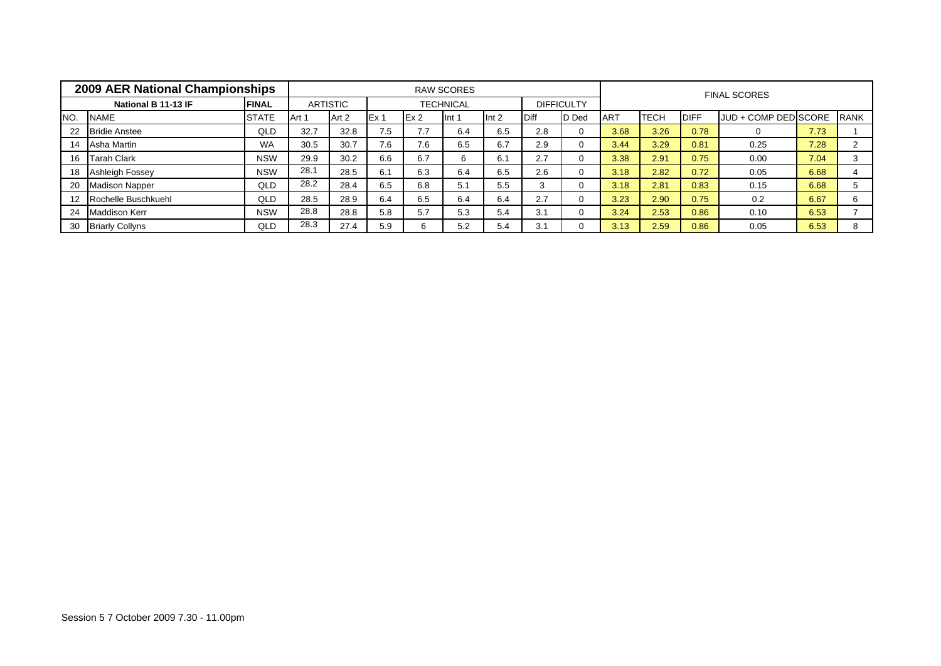|     | 2009 AER National Championships |              |       |          |       |     | <b>RAW SCORES</b> |                  |             |                   |            |             |             | <b>FINAL SCORES</b>  |      |             |
|-----|---------------------------------|--------------|-------|----------|-------|-----|-------------------|------------------|-------------|-------------------|------------|-------------|-------------|----------------------|------|-------------|
|     | National B 11-13 IF             | <b>FINAL</b> |       | ARTISTIC |       |     | <b>TECHNICAL</b>  |                  |             | <b>DIFFICULTY</b> |            |             |             |                      |      |             |
| NO. | <b>NAME</b>                     | <b>STATE</b> | Art 1 | Art 2    | IEx 1 | Ex2 | llnt 1            | Int <sub>2</sub> | <b>Diff</b> | D Ded             | <b>ART</b> | <b>TECH</b> | <b>DIFF</b> | JUD + COMP DED SCORE |      | <b>RANK</b> |
| 22  | <b>Bridie Anstee</b>            | QLD          | 32.7  | 32.8     | 7.5   | 7.7 | 6.4               | 6.5              | 2.8         | 0                 | 3.68       | 3.26        | 0.78        |                      | 7.73 |             |
| 14  | Asha Martin                     | <b>WA</b>    | 30.5  | 30.7     | 7.6   | 7.6 | 6.5               | 6.7              | 2.9         | $\Omega$          | 3.44       | 3.29        | 0.81        | 0.25                 | 7.28 |             |
| 16  | <b>Tarah Clark</b>              | <b>NSW</b>   | 29.9  | 30.2     | 6.6   | 6.7 |                   | 6.1              | 2.7         | $\Omega$          | 3.38       | 2.91        | 0.75        | 0.00                 | 7.04 |             |
| 18  | <b>Ashleigh Fossey</b>          | <b>NSW</b>   | 28.1  | 28.5     | 6.1   | 6.3 | 6.4               | 6.5              | 2.6         | $\Omega$          | 3.18       | 2.82        | 0.72        | 0.05                 | 6.68 |             |
| 20  | <b>Madison Napper</b>           | QLD          | 28.2  | 28.4     | 6.5   | 6.8 | 5.1               | 5.5              | 3           | $\Omega$          | 3.18       | 2.81        | 0.83        | 0.15                 | 6.68 | 5           |
|     | Rochelle Buschkuehl             | QLD          | 28.5  | 28.9     | 6.4   | 6.5 | 6.4               | 6.4              | 2.7         | $\Omega$          | 3.23       | 2.90        | 0.75        | 0.2                  | 6.67 | 6           |
| 24  | <b>Maddison Kerr</b>            | <b>NSW</b>   | 28.8  | 28.8     | 5.8   | 5.7 | 5.3               | 5.4              | 3.1         | $\Omega$          | 3.24       | 2.53        | 0.86        | 0.10                 | 6.53 |             |
| 30  | <b>Briarly Collyns</b>          | <b>QLD</b>   | 28.3  | 27.4     | 5.9   | h   | 5.2               | 5.4              | 3.1         | $\Omega$          | 3.13       | 2.59        | 0.86        | 0.05                 | 6.53 | 8           |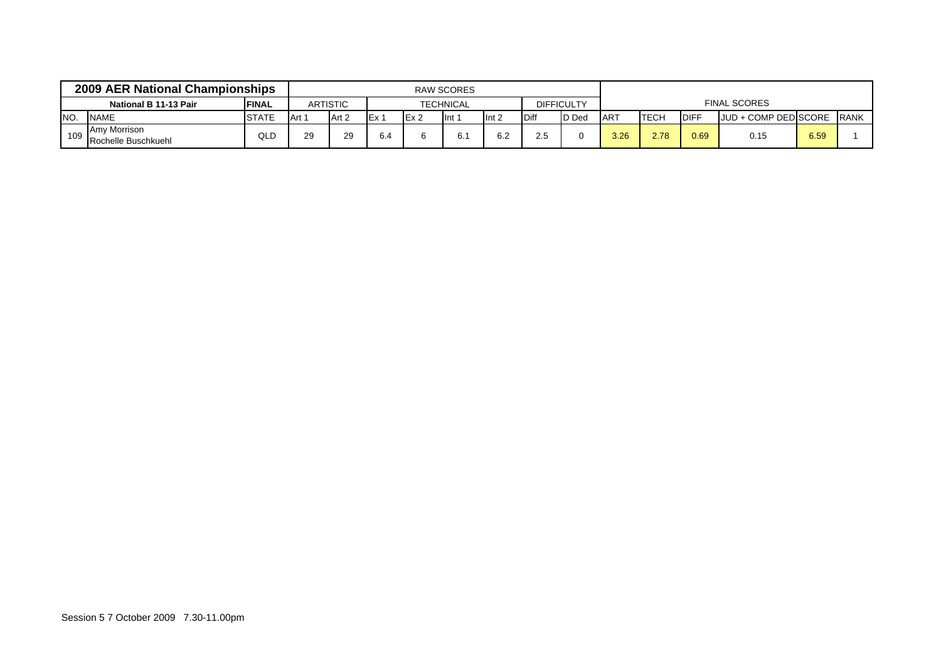|      | 2009 AER National Championships     |               |        |                 |     |                  | RAW SCORES |                  |              |                   |                 |             |              |                       |      |              |
|------|-------------------------------------|---------------|--------|-----------------|-----|------------------|------------|------------------|--------------|-------------------|-----------------|-------------|--------------|-----------------------|------|--------------|
|      | National B 11-13 Pair               | <b>IFINAL</b> |        | <b>ARTISTIC</b> |     |                  | TECHNICAL  |                  |              | <b>DIFFICULTY</b> |                 |             |              | <b>FINAL SCORES</b>   |      |              |
| INO. | <b>NAME</b>                         | <b>STATE</b>  | LArt 1 | Art 2           |     | IEx <sub>2</sub> | llnt 1     | Int <sub>2</sub> | <b>IDiff</b> | <b>ID</b> Ded     | AR <sup>-</sup> | <b>TECH</b> | <b>IDIFF</b> | JJUD + COMP DEDISCORE |      | <b>IRANK</b> |
| 109  | Amy Morrison<br>Rochelle Buschkuehl | QLD           | 29     | 29              | 6.4 |                  | 6.1        | 6.2              | 2.5          |                   | 3.26            | 2.78        | 0.69         | 0.15                  | 6.59 |              |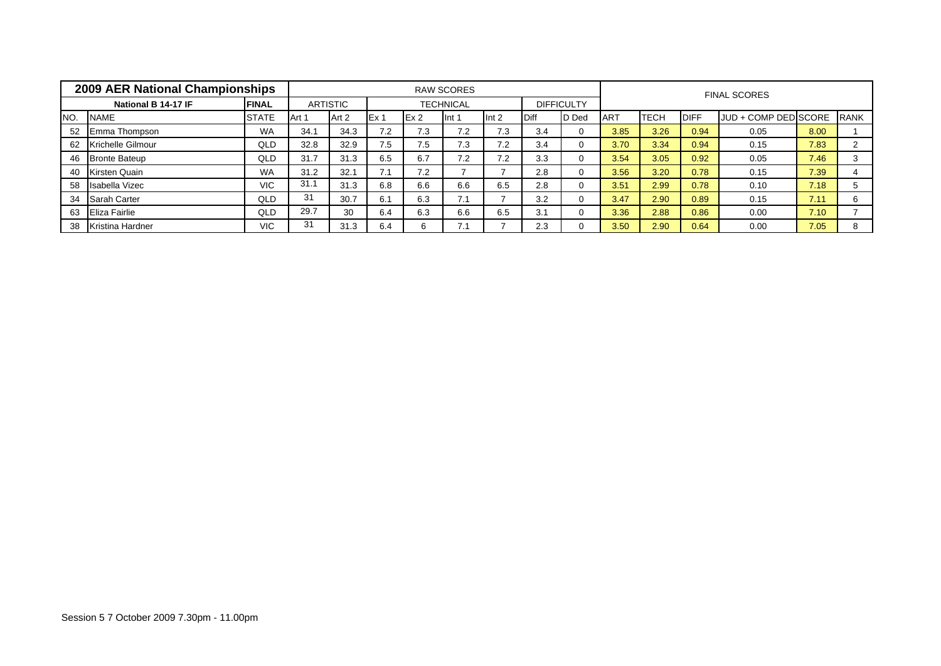|     | 2009 AER National Championships |              |       |                 |       |     | <b>RAW SCORES</b> |                  |             |                   |             |             |             | <b>FINAL SCORES</b>  |      |             |
|-----|---------------------------------|--------------|-------|-----------------|-------|-----|-------------------|------------------|-------------|-------------------|-------------|-------------|-------------|----------------------|------|-------------|
|     | National B 14-17 IF             | <b>FINAL</b> |       | <b>ARTISTIC</b> |       |     | <b>TECHNICAL</b>  |                  |             | <b>DIFFICULTY</b> |             |             |             |                      |      |             |
| NO. | <b>NAME</b>                     | <b>STATE</b> | Art 1 | Art 2           | IEx 1 | Ex2 | llnt 1            | Int <sub>2</sub> | <b>Diff</b> | D Ded             | <b>IART</b> | <b>TECH</b> | <b>DIFF</b> | JUD + COMP DED SCORE |      | <b>RANK</b> |
| 52  | Emma Thompson                   | <b>WA</b>    | 34.1  | 34.3            | 7.2   | 7.3 | 7.2               | 7.3              | 3.4         | 0                 | 3.85        | 3.26        | 0.94        | 0.05                 | 8.00 |             |
| 62  | Krichelle Gilmour               | QLD          | 32.8  | 32.9            | 7.5   | 7.5 | 7.3               | 7.2              | 3.4         | $\Omega$          | 3.70        | 3.34        | 0.94        | 0.15                 | 7.83 |             |
| 46  | <b>Bronte Bateup</b>            | QLD          | 31.7  | 31.3            | 6.5   | 6.7 | 7.2               | 7.2              | 3.3         | $\Omega$          | 3.54        | 3.05        | 0.92        | 0.05                 | 7.46 |             |
| 40  | Kirsten Quain                   | <b>WA</b>    | 31.2  | 32.1            | 7.1   | 7.2 |                   |                  | 2.8         | 0                 | 3.56        | 3.20        | 0.78        | 0.15                 | 7.39 |             |
| 58  | Isabella Vizec                  | <b>VIC</b>   | 31.1  | 31.3            | 6.8   | 6.6 | 6.6               | 6.5              | 2.8         | $\Omega$          | 3.51        | 2.99        | 0.78        | 0.10                 | 7.18 |             |
| 34  | Sarah Carter                    | QLD          | 31    | 30.7            | 6.1   | 6.3 | 7.1               |                  | 3.2         | $\Omega$          | 3.47        | 2.90        | 0.89        | 0.15                 | 7.11 | 6           |
| 63  | <b>Eliza Fairlie</b>            | QLD          | 29.7  | 30              | 6.4   | 6.3 | 6.6               | 6.5              | 3.1         | $\Omega$          | 3.36        | 2.88        | 0.86        | 0.00                 | 7.10 |             |
| 38  | <b>Kristina Hardner</b>         | <b>VIC</b>   | 31    | 31.3            | 6.4   |     | 7.1               |                  | 2.3         | $\Omega$          | 3.50        | 2.90        | 0.64        | 0.00                 | 7.05 | 8           |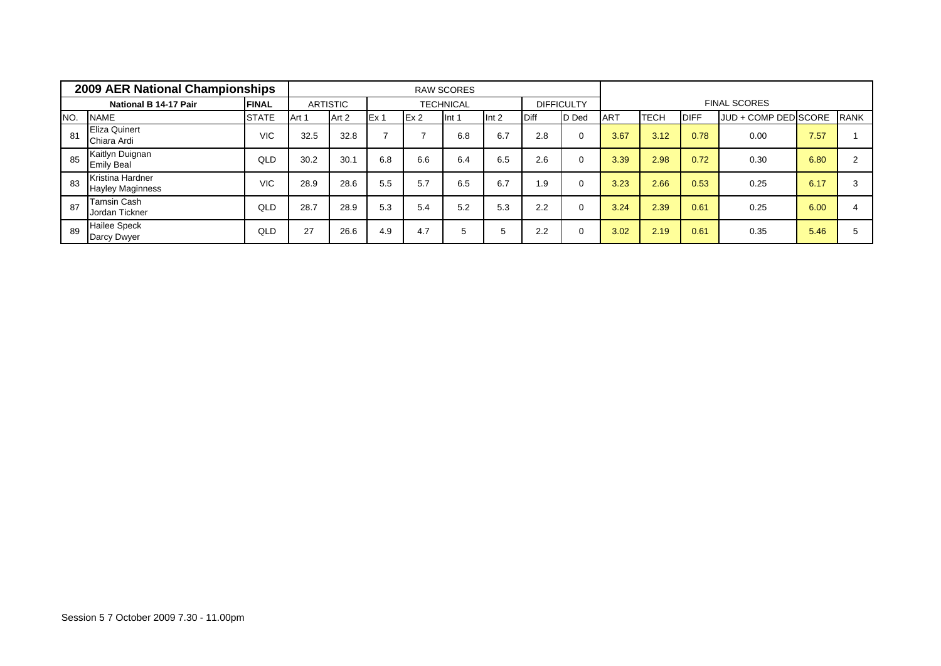|     | 2009 AER National Championships             |              |       |                 |      |                 | <b>RAW SCORES</b> |       |      |                   |            |      |             |                      |      |             |
|-----|---------------------------------------------|--------------|-------|-----------------|------|-----------------|-------------------|-------|------|-------------------|------------|------|-------------|----------------------|------|-------------|
|     | National B 14-17 Pair                       | <b>FINAL</b> |       | <b>ARTISTIC</b> |      |                 | <b>TECHNICAL</b>  |       |      | <b>DIFFICULTY</b> |            |      |             | <b>FINAL SCORES</b>  |      |             |
| NO. | <b>NAME</b>                                 | <b>STATE</b> | Art 1 | Art 2           | Ex 1 | Ex <sub>2</sub> | Int 1             | Int 2 | Diff | <b>D</b> Ded      | <b>ART</b> | TECH | <b>DIFF</b> | JUD + COMP DED SCORE |      | <b>RANK</b> |
| 81  | <b>Eliza Quinert</b><br>Chiara Ardi         | <b>VIC</b>   | 32.5  | 32.8            |      |                 | 6.8               | 6.7   | 2.8  | 0                 | 3.67       | 3.12 | 0.78        | 0.00                 | 7.57 |             |
| 85  | Kaitlyn Duignan<br><b>Emily Beal</b>        | QLD          | 30.2  | 30.1            | 6.8  | 6.6             | 6.4               | 6.5   | 2.6  | 0                 | 3.39       | 2.98 | 0.72        | 0.30                 | 6.80 |             |
| 83  | Kristina Hardner<br><b>Hayley Maginness</b> | <b>VIC</b>   | 28.9  | 28.6            | 5.5  | 5.7             | 6.5               | 6.7   | 1.9  | 0                 | 3.23       | 2.66 | 0.53        | 0.25                 | 6.17 |             |
| 87  | <b>Tamsin Cash</b><br>Jordan Tickner        | QLD          | 28.7  | 28.9            | 5.3  | 5.4             | 5.2               | 5.3   | 2.2  | 0                 | 3.24       | 2.39 | 0.61        | 0.25                 | 6.00 |             |
| 89  | <b>Hailee Speck</b><br>Darcy Dwyer          | QLD          | 27    | 26.6            | 4.9  | 4.7             | <sub>5</sub>      | 5     | 2.2  | 0                 | 3.02       | 2.19 | 0.61        | 0.35                 | 5.46 |             |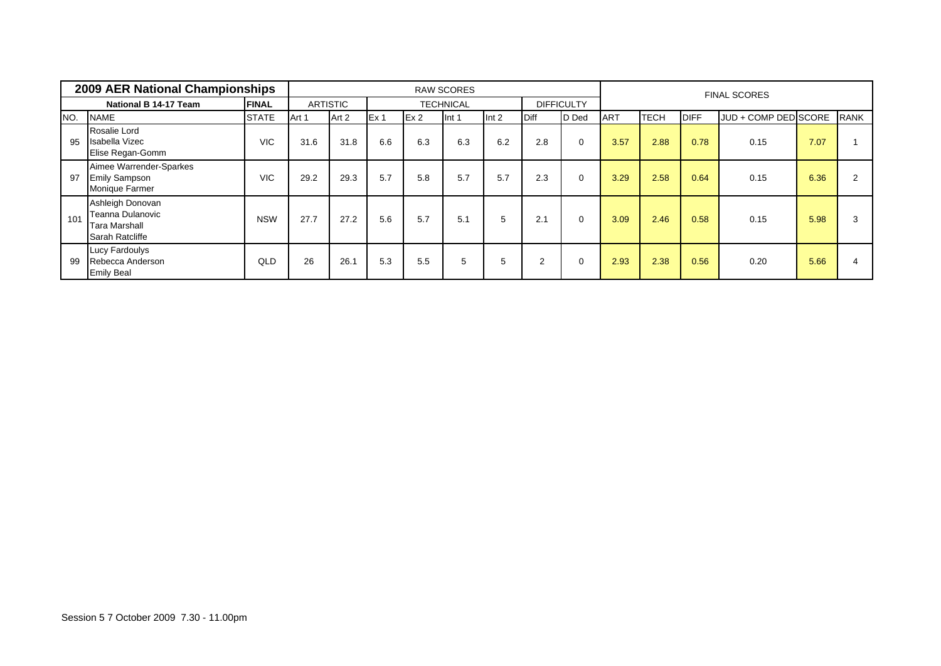|     | 2009 AER National Championships                                                 |              |       |                 |      |     | <b>RAW SCORES</b> |       |             |                   |            |      |             | <b>FINAL SCORES</b>  |      |             |
|-----|---------------------------------------------------------------------------------|--------------|-------|-----------------|------|-----|-------------------|-------|-------------|-------------------|------------|------|-------------|----------------------|------|-------------|
|     | National B 14-17 Team                                                           | <b>FINAL</b> |       | <b>ARTISTIC</b> |      |     | <b>TECHNICAL</b>  |       |             | <b>DIFFICULTY</b> |            |      |             |                      |      |             |
| NO. | <b>NAME</b>                                                                     | <b>STATE</b> | Art 1 | Art 2           | Ex 1 | Ex2 | Int 1             | Int 2 | <b>Diff</b> | D Ded             | <b>ART</b> | тесн | <b>DIFF</b> | JUD + COMP DED SCORE |      | <b>RANK</b> |
| 95  | Rosalie Lord<br><b>Isabella Vizec</b><br>Elise Regan-Gomm                       | <b>VIC</b>   | 31.6  | 31.8            | 6.6  | 6.3 | 6.3               | 6.2   | 2.8         | 0                 | 3.57       | 2.88 | 0.78        | 0.15                 | 7.07 |             |
| 97  | Aimee Warrender-Sparkes<br><b>Emily Sampson</b><br><b>Monique Farmer</b>        | <b>VIC</b>   | 29.2  | 29.3            | 5.7  | 5.8 | 5.7               | 5.7   | 2.3         | 0                 | 3.29       | 2.58 | 0.64        | 0.15                 | 6.36 |             |
| 101 | Ashleigh Donovan<br>Teanna Dulanovic<br><b>Tara Marshall</b><br>Sarah Ratcliffe | <b>NSW</b>   | 27.7  | 27.2            | 5.6  | 5.7 | 5.1               | 5     | 2.1         | 0                 | 3.09       | 2.46 | 0.58        | 0.15                 | 5.98 | 3           |
| 99  | <b>Lucy Fardoulys</b><br>Rebecca Anderson<br><b>Emily Beal</b>                  | QLD          | 26    | 26.1            | 5.3  | 5.5 | 5                 | 5     | 2           | 0                 | 2.93       | 2.38 | 0.56        | 0.20                 | 5.66 |             |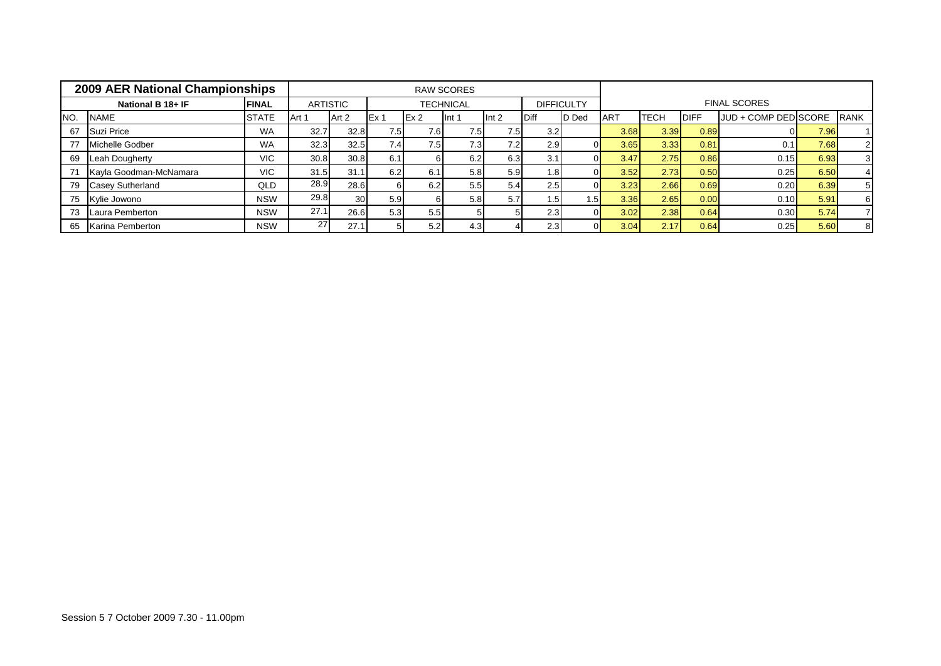|     | 2009 AER National Championships |              |       |                 |                  |                 | <b>RAW SCORES</b> |                  |             |                   |            |      |             |                      |      |             |
|-----|---------------------------------|--------------|-------|-----------------|------------------|-----------------|-------------------|------------------|-------------|-------------------|------------|------|-------------|----------------------|------|-------------|
|     | National B 18+ IF               | <b>FINAL</b> |       | <b>ARTISTIC</b> |                  |                 | <b>TECHNICAL</b>  |                  |             | <b>DIFFICULTY</b> |            |      |             | <b>FINAL SCORES</b>  |      |             |
| NO. | <b>NAME</b>                     | <b>STATE</b> | Art 1 | Art 2           | Ex 1             | Ex <sub>2</sub> | Int 1             | Int 2            | <b>Diff</b> | D Ded             | <b>ART</b> | TECH | <b>DIFF</b> | JUD + COMP DED SCORE |      | <b>RANK</b> |
| 67  | Suzi Price                      | <b>WA</b>    | 32.7  | 32.8            | 7.5              | 7.6I            | 7.51              | 7.5I             | 3.2         |                   | 3.68       | 3.39 | 0.89        |                      | 7.96 |             |
| 77  | Michelle Godber                 | <b>WA</b>    | 32.3  | 32.5            | 7.4              | 7.5             | 7.31              | 7.2 <sub>1</sub> | 2.9         |                   | 3.65       | 3.33 | 0.81        | 0.1                  | 7.68 |             |
| 69  | Leah Dougherty                  | <b>VIC</b>   | 30.8  | 30.8            | 6.1 <sub>1</sub> |                 | 6.2               | 6.3              | 3.1         |                   | 3.47       | 2.75 | 0.86        | 0.15                 | 6.93 |             |
|     | Kayla Goodman-McNamara          | <b>VIC</b>   | 31.5  | 31.1            | 6.2              | 6.1             | 5.8               | 5.9              | 1.81        |                   | 3.52       | 2.73 | 0.50        | 0.25                 | 6.50 |             |
| 79  | <b>Casey Sutherland</b>         | QLD          | 28.9  | 28.6            |                  | 6.2             | 5.5               | 5.4              | 2.5         |                   | 3.23       | 2.66 | 0.69        | 0.20                 | 6.39 |             |
| 75  | Kylie Jowono                    | <b>NSW</b>   | 29.8  | 30 <sup>l</sup> | 5.9              |                 | 5.8 <sub>1</sub>  | 5.7              | 1.51        | I .5 I            | 3.36       | 2.65 | 0.00        | 0.10                 | 5.91 | 6           |
| 73  | Laura Pemberton                 | <b>NSW</b>   | 27.1  | 26.6            | 5.3              | 5.5             |                   |                  | 2.3         |                   | 3.02       | 2.38 | 0.64        | 0.30                 | 5.74 |             |
| 65  | Karina Pemberton                | <b>NSW</b>   | 27    | 27.1            |                  | 5.2             | 4.3               |                  | 2.3         |                   | 3.04       | 2.17 | 0.64        | 0.25                 | 5.60 |             |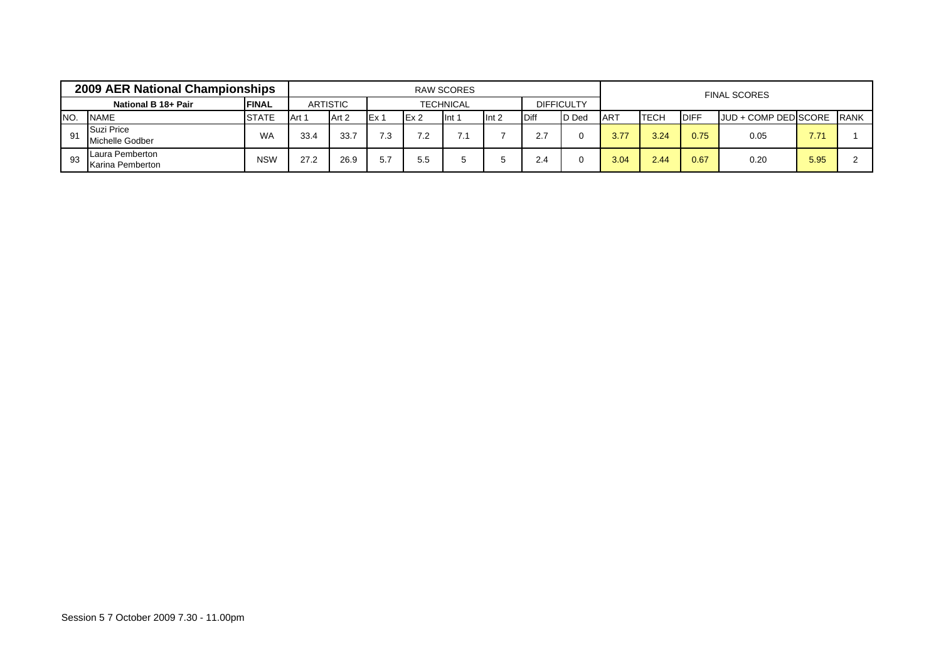|     | 2009 AER National Championships     |               |       |                 |       |      | <b>RAW SCORES</b> |                  |              |                   |                  |             |             | <b>FINAL SCORES</b>       |      |  |
|-----|-------------------------------------|---------------|-------|-----------------|-------|------|-------------------|------------------|--------------|-------------------|------------------|-------------|-------------|---------------------------|------|--|
|     | National B 18+ Pair                 | <b>IFINAL</b> |       | <b>ARTISTIC</b> |       |      | <b>TECHNICAL</b>  |                  |              | <b>DIFFICULTY</b> |                  |             |             |                           |      |  |
| NO. | <b>NAME</b>                         | <b>STATE</b>  | Art 1 | Art 2           | IEx : | Ex 2 | Int 1             | Int <sub>2</sub> | <b>IDiff</b> | <b>D</b> Ded      | IAR <sup>7</sup> | <b>TECH</b> | <b>DIFF</b> | JUD + COMP DED SCORE RANK |      |  |
| 91  | Suzi Price<br>Michelle Godber       | <b>WA</b>     | 33.4  | 33.7            | 7.3   | 7.2  |                   |                  | 2.7          |                   | 3.77             | 3.24        | 0.75        | 0.05                      | 7.71 |  |
| 93  | Laura Pemberton<br>Karina Pemberton | <b>NSW</b>    | 27.2  | 26.9            | 57    | 5.5  |                   |                  | 2.4          |                   | 3.04             | 2.44        | 0.67        | 0.20                      | 5.95 |  |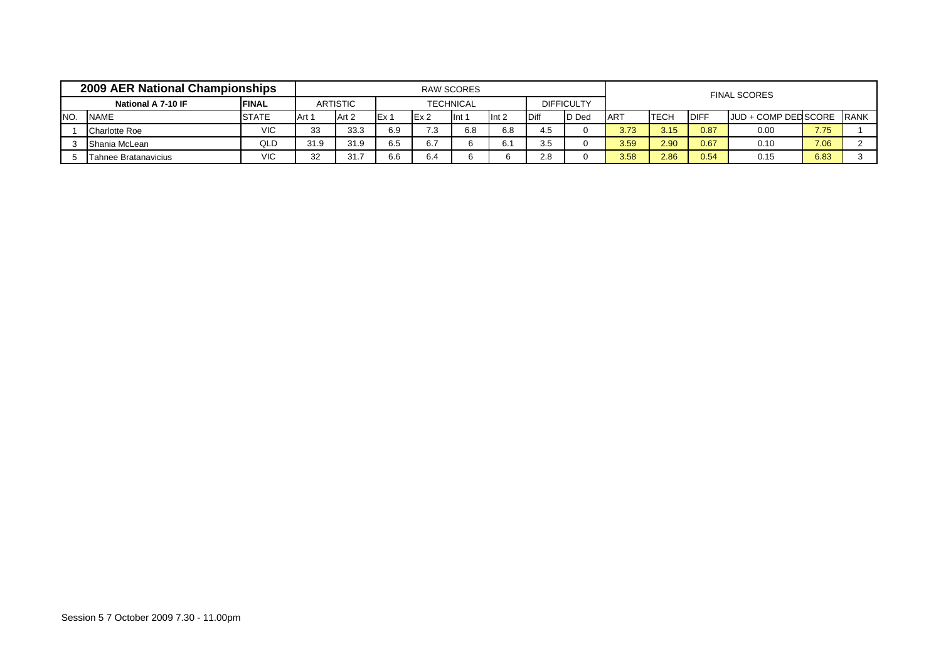|      | 2009 AER National Championships |              |        |                 |       |                  | RAW SCORES       |                  |      |                   |            |              |             | <b>FINAL SCORES</b>          |      |             |
|------|---------------------------------|--------------|--------|-----------------|-------|------------------|------------------|------------------|------|-------------------|------------|--------------|-------------|------------------------------|------|-------------|
|      | National A 7-10 IF              | <b>FINAL</b> |        | <b>ARTISTIC</b> |       |                  | <b>TECHNICAL</b> |                  |      | <b>DIFFICULTY</b> |            |              |             |                              |      |             |
| INO. | <b>NAME</b>                     | <b>STATE</b> | IArt 1 | Art 2           | IEx 1 | IEx <sub>2</sub> | llnt.            | Int <sub>2</sub> | Diff | D Ded             | <b>ART</b> | <b>ITECH</b> | <b>DIFF</b> | <b>JJUD + COMP DED SCORE</b> |      | <b>RANK</b> |
|      | <b>Charlotte Roe</b>            | VIC          | 33     | 33.3            | 6.9   | 7.3              | 6.8              | 6.8              | 4.5  |                   | 3.73       | 3.15         | 0.87        | 0.00                         | 7.75 |             |
|      | Shania McLean                   | QLD          | 31.9   | 31.9            | 6.5   | 6.7              |                  |                  | 3.5  |                   | 3.59       | 2.90         | 0.67        | 0.10                         | 7.06 |             |
|      | Tahnee Bratanavicius            | <b>VIC</b>   | 32     | 31.7            | 6.6   | 6.4              |                  |                  | 2.8  |                   | 3.58       | 2.86         | 0.54        | 0.15                         | 6.83 |             |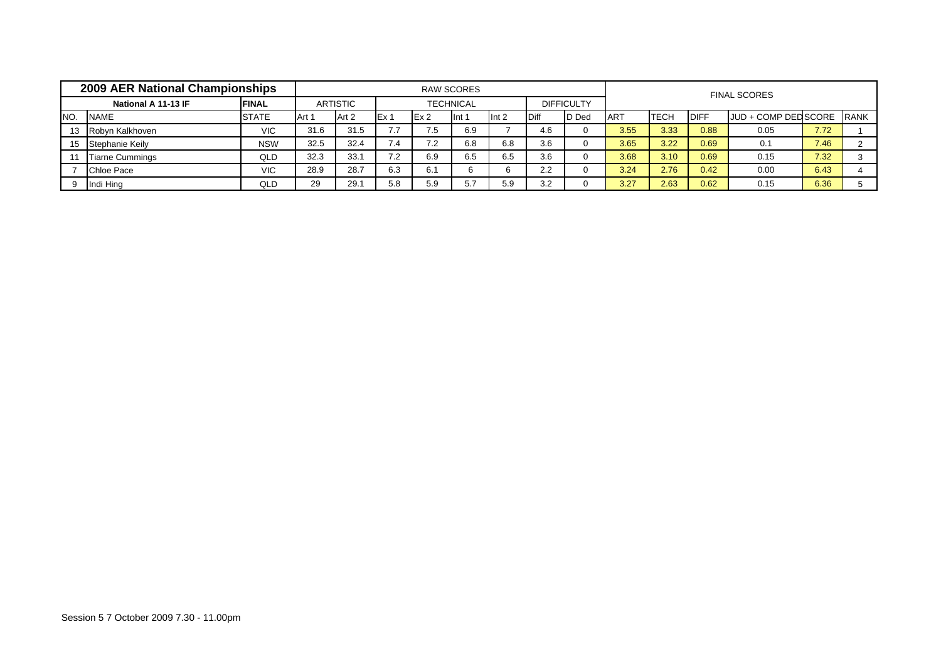|      | 2009 AER National Championships |              |       |                 |       |     | <b>RAW SCORES</b> |                  |              |                   |            |              |             | <b>FINAL SCORES</b>  |      |              |
|------|---------------------------------|--------------|-------|-----------------|-------|-----|-------------------|------------------|--------------|-------------------|------------|--------------|-------------|----------------------|------|--------------|
|      | National A 11-13 IF             | <b>FINAL</b> |       | <b>ARTISTIC</b> |       |     | <b>TECHNICAL</b>  |                  |              | <b>DIFFICULTY</b> |            |              |             |                      |      |              |
| INO. | <b>NAME</b>                     | <b>STATE</b> | Art 1 | Art 2           | IEx 1 | Ex2 | lnt 1             | Int <sub>2</sub> | <b>IDiff</b> | D Ded             | <b>ART</b> | <b>ITECH</b> | <b>DIFF</b> | JUD + COMP DED SCORE |      | <b>IRANK</b> |
| 13   | Robyn Kalkhoven                 | <b>VIC</b>   | 31.6  | 31.5            | 77    | 7.5 | 6.9               |                  | 4.6          |                   | 3.55       | 3.33         | 0.88        | 0.05                 | 7.72 |              |
| 15   | Stephanie Keily                 | <b>NSW</b>   | 32.5  | 32.4            | 7.4   | 7.2 | 6.8               | 6.8              | 3.6          |                   | 3.65       | 3.22         | 0.69        | 0.1                  | 7.46 |              |
|      | <b>Tiarne Cummings</b>          | QLD          | 32.3  | 33.1            | 7.2   | 6.9 | 6.5               | 6.5              | 3.6          |                   | 3.68       | 3.10         | 0.69        | 0.15                 | 7.32 |              |
|      | <b>Chloe Pace</b>               | <b>VIC</b>   | 28.9  | 28.7            | 6.3   | 6.1 |                   |                  | 2.2          |                   | 3.24       | 2.76         | 0.42        | 0.00                 | 6.43 |              |
|      | Indi Hing                       | QLD          | 29    | 29.1            | 5.8   | 5.9 | 5.7               | 5.9              | 3.2          |                   | 3.27       | 2.63         | 0.62        | 0.15                 | 6.36 |              |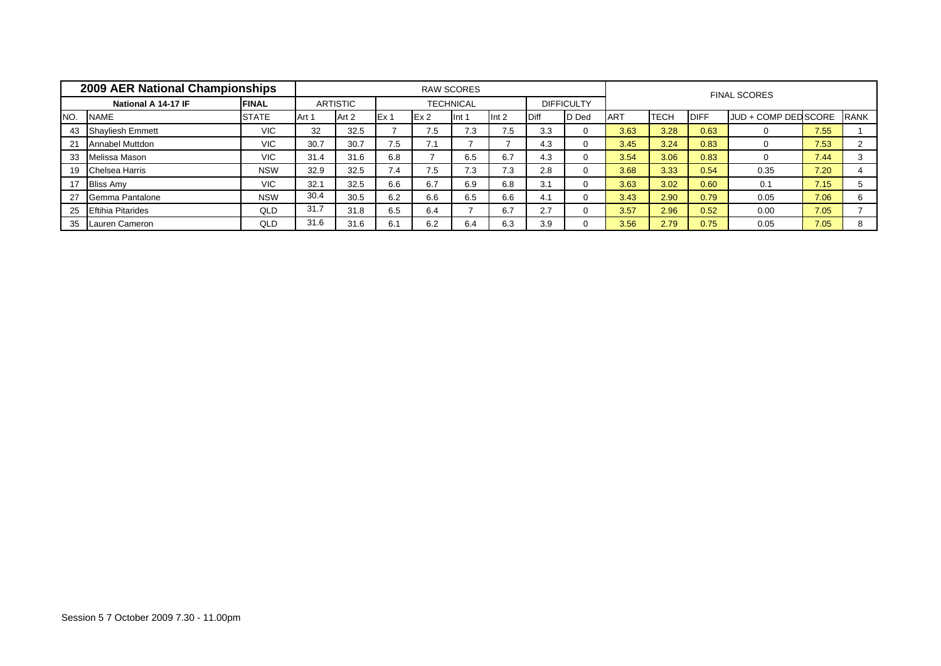|      | 2009 AER National Championships |               |       |                 |       |     | <b>RAW SCORES</b> |       |              |                   |            |             |             | <b>FINAL SCORES</b>  |      |             |
|------|---------------------------------|---------------|-------|-----------------|-------|-----|-------------------|-------|--------------|-------------------|------------|-------------|-------------|----------------------|------|-------------|
|      | National A 14-17 IF             | <b>IFINAL</b> |       | <b>ARTISTIC</b> |       |     | <b>TECHNICAL</b>  |       |              | <b>DIFFICULTY</b> |            |             |             |                      |      |             |
| INO. | <b>NAME</b>                     | <b>STATE</b>  | Art 1 | Art 2           | IEx 1 | Ex2 | llnt 1            | Int 2 | <b>IDiff</b> | D Ded             | <b>ART</b> | <b>TECH</b> | <b>DIFF</b> | JUD + COMP DED SCORE |      | <b>RANK</b> |
| 43   | <b>Shayliesh Emmett</b>         | <b>VIC</b>    | 32    | 32.5            |       | 7.5 | 7.3               | 7.5   | 3.3          |                   | 3.63       | 3.28        | 0.63        |                      | 7.55 |             |
| 21   | <b>Annabel Muttdon</b>          | <b>VIC</b>    | 30.7  | 30.7            | 7.5   | 7.1 |                   |       | 4.3          | $\Omega$          | 3.45       | 3.24        | 0.83        |                      | 7.53 |             |
| 33   | Melissa Mason                   | <b>VIC</b>    | 31.4  | 31.6            | 6.8   |     | 6.5               | 6.7   | 4.3          |                   | 3.54       | 3.06        | 0.83        |                      | 7.44 |             |
| 19   | Chelsea Harris                  | <b>NSW</b>    | 32.9  | 32.5            | 7.4   | 7.5 | 7.3               | 7.3   | 2.8          | $\Omega$          | 3.68       | 3.33        | 0.54        | 0.35                 | 7.20 |             |
| 17   | <b>Bliss Amy</b>                | VIC.          | 32.1  | 32.5            | 6.6   | 6.7 | 6.9               | 6.8   | 3.1          | $\Omega$          | 3.63       | 3.02        | 0.60        | 0.1                  | 7.15 |             |
| 27   | Gemma Pantalone                 | <b>NSW</b>    | 30.4  | 30.5            | 6.2   | 6.6 | 6.5               | 6.6   | 4.1          | $\Omega$          | 3.43       | 2.90        | 0.79        | 0.05                 | 7.06 | 6           |
| 25   | <b>Eftihia Pitarides</b>        | QLD           | 31.7  | 31.8            | 6.5   | 6.4 |                   | 6.7   | 2.7          |                   | 3.57       | 2.96        | 0.52        | 0.00                 | 7.05 |             |
| 35   | Lauren Cameron                  | QLD           | 31.6  | 31.6            | 6.1   | 6.2 | 6.4               | 6.3   | 3.9          |                   | 3.56       | 2.79        | 0.75        | 0.05                 | 7.05 | 8           |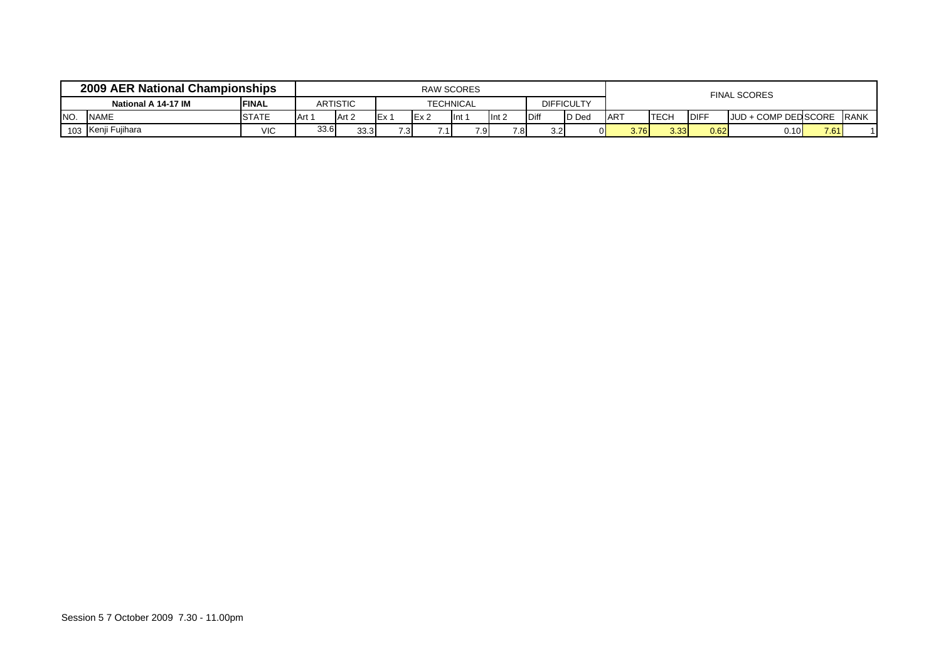|     | 2009 AER National Championships |               |       |                 |                  | <b>RAW SCORES</b> |              |                  |              |                   |            |             |             | <b>FINAL SCORES</b>  |      |              |
|-----|---------------------------------|---------------|-------|-----------------|------------------|-------------------|--------------|------------------|--------------|-------------------|------------|-------------|-------------|----------------------|------|--------------|
|     | National A 14-17 IM             | <b>IFINAL</b> |       | <b>ARTISTIC</b> |                  | <b>TECHNICAL</b>  |              |                  |              | <b>DIFFICULTY</b> |            |             |             |                      |      |              |
| NO. | <b>NAME</b>                     | <b>STATE</b>  | Art 1 | Art 2           |                  | IEx ∠             | <b>I</b> Int | Int <sub>2</sub> | <b>IDiff</b> | <b>ID</b> Ded     | <b>ART</b> | <b>TECH</b> | <b>DIFF</b> | JUD + COMP DED SCORE |      | <b>IRANK</b> |
|     | 103 Kenji Fujihara<br>VIC       |               | 33.6  | 33.3            | 7.3 <sub>l</sub> |                   | 7.9          | 7.8              | 3.21         |                   | 3.76       | 3.33        | 0.62        | 0.10                 | 7.61 |              |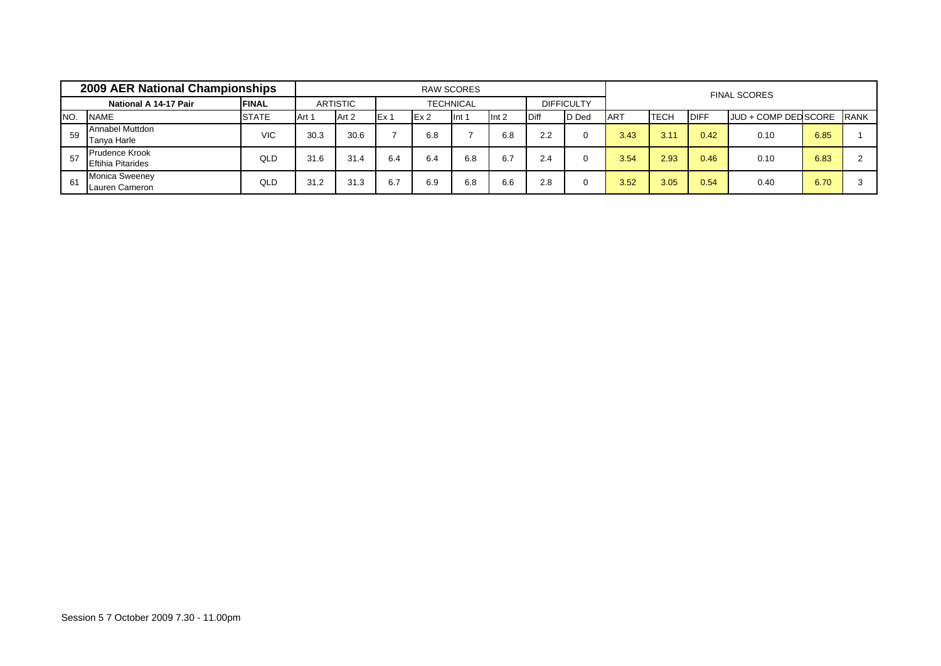|     | <b>2009 AER National Championships</b>            |               |       |                 |      |      | <b>RAW SCORES</b> |         |              |                   |            |             |             | <b>FINAL SCORES</b>  |      |             |
|-----|---------------------------------------------------|---------------|-------|-----------------|------|------|-------------------|---------|--------------|-------------------|------------|-------------|-------------|----------------------|------|-------------|
|     | National A 14-17 Pair                             | <b>IFINAL</b> |       | <b>ARTISTIC</b> |      |      | <b>TECHNICAL</b>  |         |              | <b>DIFFICULTY</b> |            |             |             |                      |      |             |
| NO. | <b>NAME</b>                                       | <b>STATE</b>  | Art 1 | Art 2           | Ex 1 | Ex 2 | lint 1            | Int $2$ | <b>IDiff</b> | <b>D</b> Ded      | <b>ART</b> | <b>TECH</b> | <b>DIFF</b> | JUD + COMP DED SCORE |      | <b>RANK</b> |
| 59  | <b>Annabel Muttdon</b><br>Tanya Harle             | VIC           | 30.3  | 30.6            |      | 6.8  |                   | 6.8     | 2.2          |                   | 3.43       | 3.11        | 0.42        | 0.10                 | 6.85 |             |
| 57  | <b>Prudence Krook</b><br><b>Eftihia Pitarides</b> | QLD           | 31.6  | 31.4            | 6.4  | 6.4  | 6.8               | 6.7     | 2.4          |                   | 3.54       | 2.93        | 0.46        | 0.10                 | 6.83 |             |
| 61  | <b>Monica Sweeney</b><br>Lauren Cameron           | QLD           | 31.2  | 31.3            | 6.7  | 6.9  | 6.8               | 6.6     | 2.8          |                   | 3.52       | 3.05        | 0.54        | 0.40                 | 6.70 |             |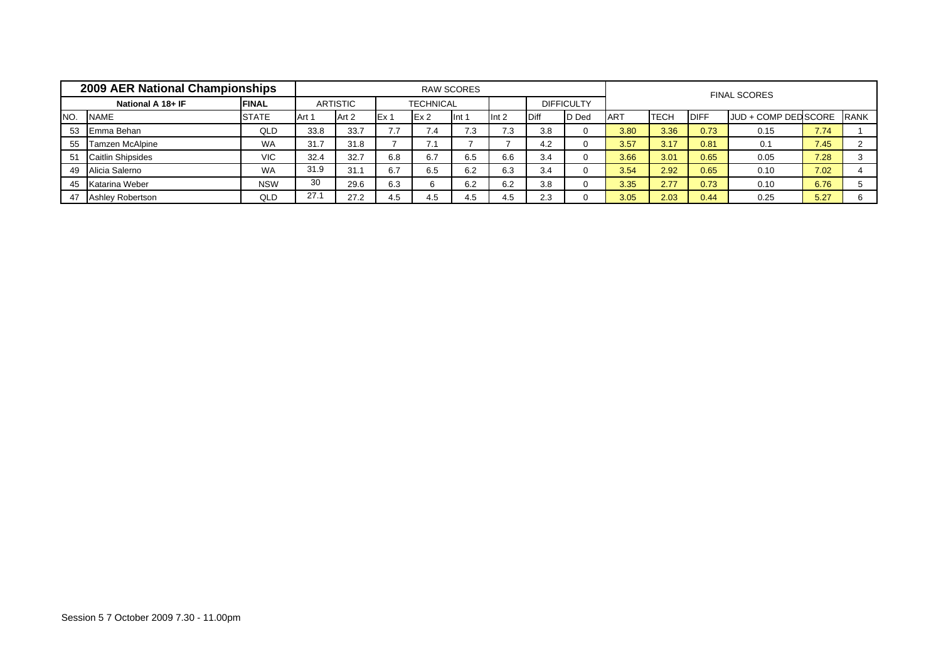|     | 2009 AER National Championships |              |       |                 |                          |                  | <b>RAW SCORES</b> |                  |             |                   |            |             |             | <b>FINAL SCORES</b>  |      |             |
|-----|---------------------------------|--------------|-------|-----------------|--------------------------|------------------|-------------------|------------------|-------------|-------------------|------------|-------------|-------------|----------------------|------|-------------|
|     | National A 18+ IF               | <b>FINAL</b> |       | <b>ARTISTIC</b> |                          | <b>TECHNICAL</b> |                   |                  |             | <b>DIFFICULTY</b> |            |             |             |                      |      |             |
| NO. | <b>NAME</b>                     | <b>STATE</b> | Art 1 | Art 2           | IEx 1                    | Ex2              | Int <sub>1</sub>  | Int <sub>2</sub> | <b>Diff</b> | D Ded             | <b>ART</b> | <b>TECH</b> | <b>DIFF</b> | JUD + COMP DED SCORE |      | <b>RANK</b> |
| 53  | Emma Behan                      | QLD          | 33.8  | 33.7            | $\overline{\phantom{a}}$ | 7.4              | 7.3               | 7.3              | 3.8         |                   | 3.80       | 3.36        | 0.73        | 0.15                 | 7.74 |             |
| 55  | Tamzen McAlpine                 | <b>WA</b>    | 31.7  | 31.8            |                          | 7.1              |                   |                  | 4.2         |                   | 3.57       | 3.17        | 0.81        | 0.1                  | 7.45 |             |
| 51  | <b>Caitlin Shipsides</b>        | <b>VIC</b>   | 32.4  | 32.7            | 6.8                      | 6.7              | 6.5               | 6.6              | 3.4         |                   | 3.66       | 3.01        | 0.65        | 0.05                 | 7.28 |             |
| 49  | Alicia Salerno                  | <b>WA</b>    | 31.9  | 31.1            | 6.7                      | 6.5              | 6.2               | 6.3              | 3.4         |                   | 3.54       | 2.92        | 0.65        | 0.10                 | 7.02 |             |
| 45  | Katarina Weber                  | <b>NSW</b>   | 30    | 29.6            | 6.3                      |                  | 6.2               | 6.2              | 3.8         |                   | 3.35       | 2.77        | 0.73        | 0.10                 | 6.76 |             |
| 47  | <b>Ashley Robertson</b>         | QLD          | 27.1  | 27.2            | 4.5                      | 4.5              | 4.5               | 4.5              | 2.3         |                   | 3.05       | 2.03        | 0.44        | 0.25                 | 5.27 |             |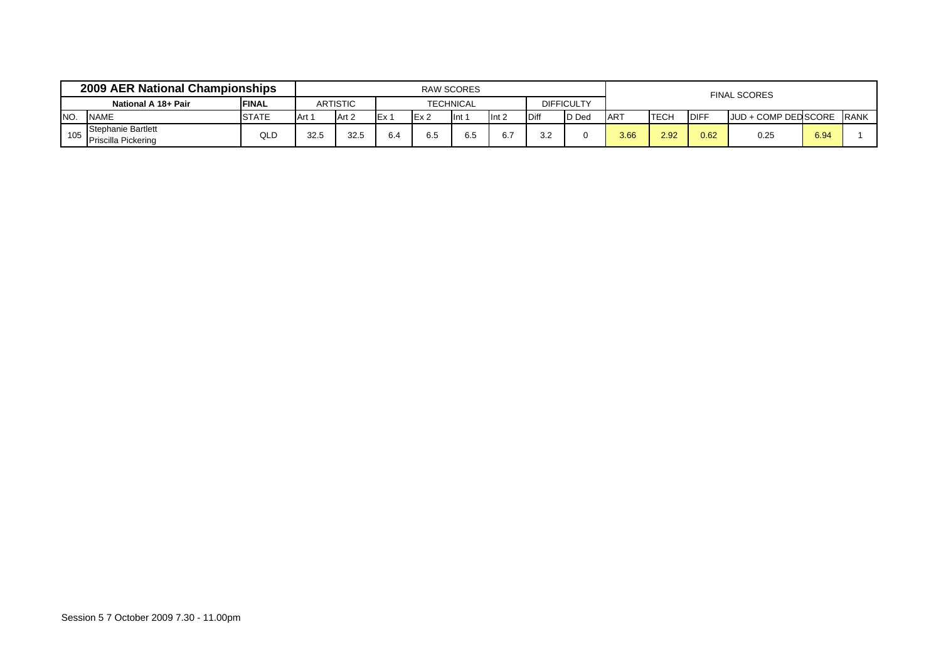|     | 2009 AER National Championships                  |              |       |                 |            | <b>RAW SCORES</b> |                |         |              |                   |            |             |             | <b>FINAL SCORES</b>       |      |  |
|-----|--------------------------------------------------|--------------|-------|-----------------|------------|-------------------|----------------|---------|--------------|-------------------|------------|-------------|-------------|---------------------------|------|--|
|     | National A 18+ Pair                              | <b>FINAL</b> |       | <b>ARTISTIC</b> |            |                   | TECHNICAL      |         |              | <b>DIFFICULTY</b> |            |             |             |                           |      |  |
| NO. | <b>STATE</b><br><b>NAME</b>                      |              | Art 1 | Art 2           | <b>IEx</b> | Ex2               | $\mathsf{Int}$ | Int $2$ | <b>IDiff</b> | <b>ID</b> Ded     | <b>ART</b> | <b>TECH</b> | <b>DIFF</b> | JUD + COMP DED SCORE RANK |      |  |
| 105 | Stephanie Bartlett<br><b>Priscilla Pickering</b> | QLD          | 32.5  | 32.5            | 6.4        | $\sim$ $-$<br>6.5 | 6.5            | 6.1     | 3.2          |                   | 3.66       | 2.92        | 0.62        | 0.25                      | 6.94 |  |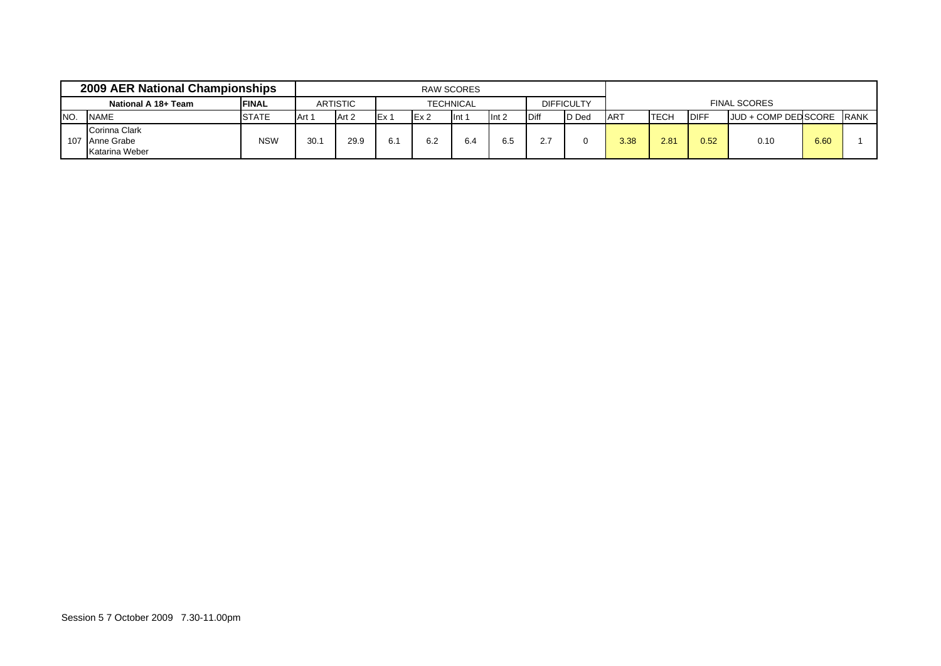|                 | 2009 AER National Championships                   |               |       |                 |                 |                  | <b>RAW SCORES</b>           |                  |              |                   |            |             |              |                      |      |             |
|-----------------|---------------------------------------------------|---------------|-------|-----------------|-----------------|------------------|-----------------------------|------------------|--------------|-------------------|------------|-------------|--------------|----------------------|------|-------------|
|                 | National A 18+ Team                               | <b>IFINAL</b> |       | <b>ARTISTIC</b> |                 |                  | <b>TECHNICAL</b>            |                  |              | <b>DIFFICULTY</b> |            |             |              | <b>FINAL SCORES</b>  |      |             |
| I <sub>NO</sub> | <b>NAME</b>                                       | <b>STATE</b>  | Art 1 | Art 2           | Ex <sub>1</sub> | IEx <sub>2</sub> | $\mathsf{Int} \mathfrak{g}$ | Int <sub>2</sub> | <b>IDiff</b> | D Ded             | <b>ART</b> | <b>TECH</b> | <b>IDIFF</b> | JUD + COMP DED SCORE |      | <b>RANK</b> |
|                 | Corinna Clark<br>107 Anne Grabe<br>Katarina Weber | <b>NSW</b>    | 30.7  | 29.9            | 6.1             | 6.2              | 6.4                         | 6.5              | 2.7          |                   | 3.38       | 2.81        | 0.52         | 0.10                 | 6.60 |             |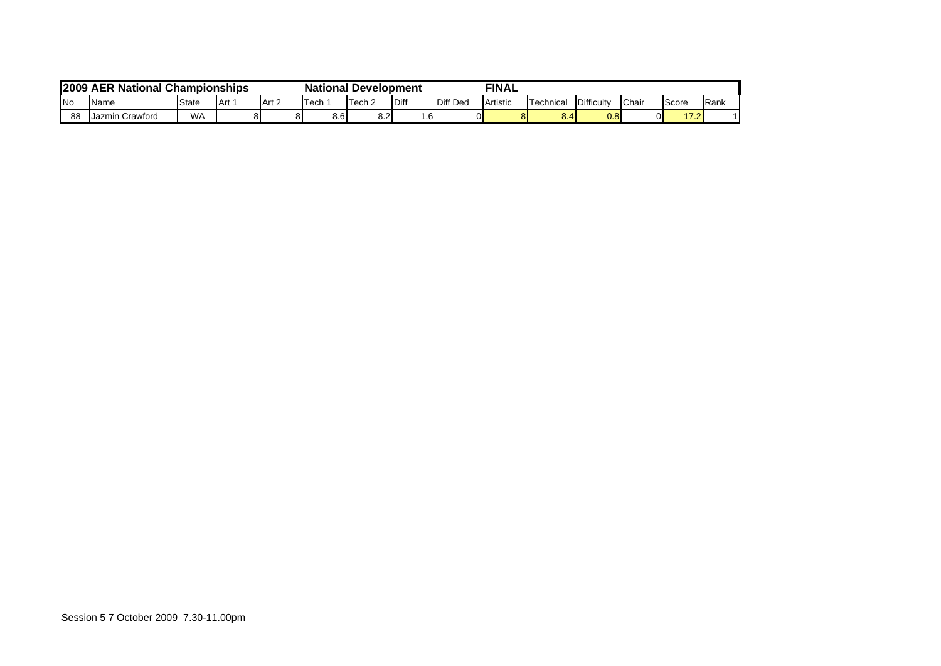| <b>2009</b> | <b>AER National Championships</b> |           |  |    | <b>National Development</b> |            |          |          | <b>FINAL</b> |                       |            |               |       |              |
|-------------|-----------------------------------|-----------|--|----|-----------------------------|------------|----------|----------|--------------|-----------------------|------------|---------------|-------|--------------|
| <b>INo</b>  | Name<br>State<br>Art 2<br>IArt.   |           |  |    | Tech                        | Tech $\ge$ | Diff     | Diff Ded | Artistic     | <sup>-</sup> echnical | Difficulty | <b>IChair</b> | Score | <b>IRank</b> |
| 88          | Jazmin Crawford                   | <b>WA</b> |  | 81 | 8.6                         | o o<br>o.z | <b>6</b> |          |              | 8.4                   | $0.8\,$    |               | 17.2  |              |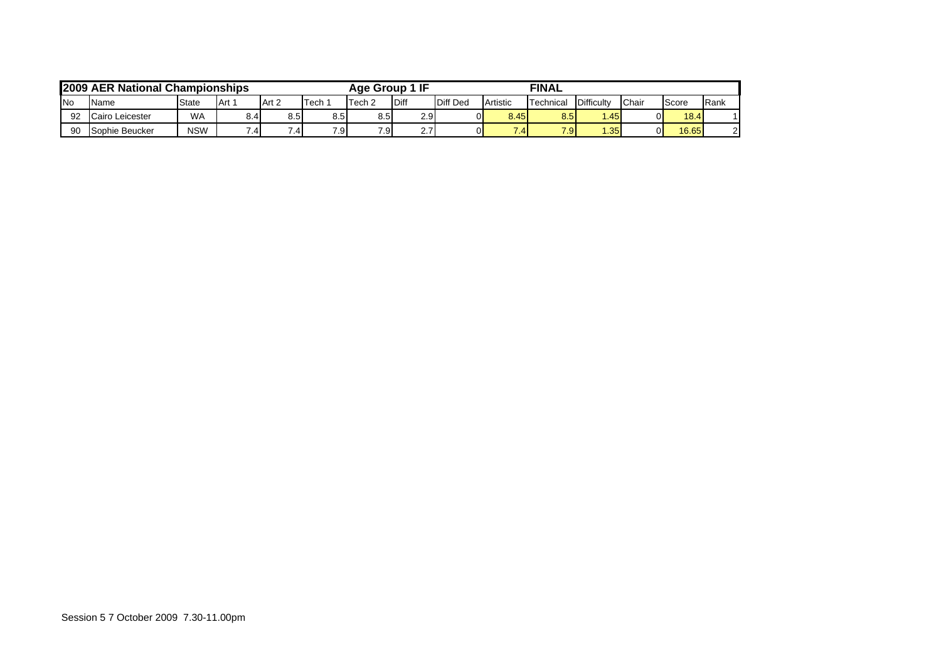|            | 2009 AER National Championships |            |         |                  |      | Age Group        | 1 IF             |                 |            | <b>FINAL</b>     |                  |       |       |      |
|------------|---------------------------------|------------|---------|------------------|------|------------------|------------------|-----------------|------------|------------------|------------------|-------|-------|------|
| <b>INo</b> | Name                            | State      | l Art ∶ | Art 2            | Tech | Tech 2           | <b>IDiff</b>     | <b>Diff Ded</b> | Artistic   | <b>Technical</b> | Difficulty       | Chair | Score | Rank |
| 92         | Cairo Leicester                 | <b>WA</b>  | 8.4     | 8.5 <sub>l</sub> | 8.5  | 8.5              | 2.9 <sup>°</sup> |                 | 8.45       | 8.5              | 1.45             | ΩI    | 18.4  |      |
| 90         | Sophie Beucker                  | <b>NSW</b> | .4      |                  | 7.9  | 7.9 <sub>1</sub> | 2.7              |                 | $\sqrt{4}$ | 7.9              | .35 <sup>1</sup> | 01    | 16.65 | 21   |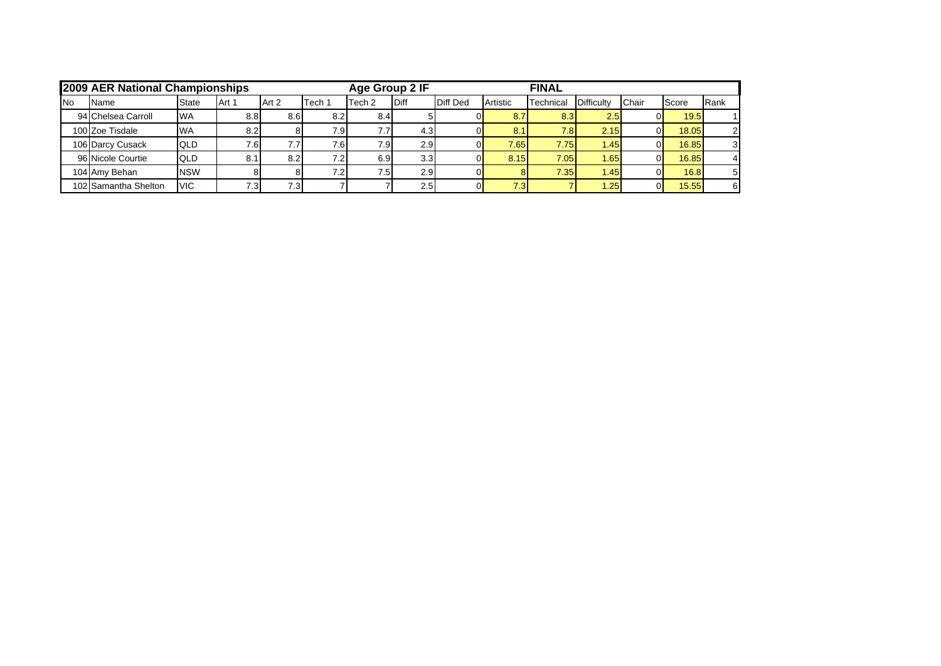|            | <b>2009 AER National Championships</b> |              |       |                  |                  | Age Group 2 IF    |                  |                 |          | <b>FINAL</b> |            |       |       |      |
|------------|----------------------------------------|--------------|-------|------------------|------------------|-------------------|------------------|-----------------|----------|--------------|------------|-------|-------|------|
| <b>INo</b> | Name                                   | <b>State</b> | Art 1 | Art 2            | Tech 1           | Tech <sub>2</sub> | <b>Diff</b>      | <b>Diff Ded</b> | Artistic | Technical    | Difficulty | Chair | Score | Rank |
|            | 94 Chelsea Carroll                     | <b>IWA</b>   | 8.8   | 8.6 <sub>l</sub> | 8.2              | 8.4               |                  |                 | 8.7      | 8.3          | 2.5        |       | 19.5  |      |
|            | 100 Zoe Tisdale                        | <b>WA</b>    | 8.2   |                  | 7.9              |                   | 4.3              |                 | 8.1      | 7.8          | 2.15       |       | 18.05 | 21   |
|            | 106 Darcy Cusack                       | <b>QLD</b>   | 16.'  |                  | 7.6 <sub>1</sub> | 7.9               | 2.9 <sub>l</sub> |                 | 7.65     | 7.75         | 1.45       |       | 16.85 | 31   |
|            | 96 Nicole Courtie                      | <b>QLD</b>   | 8.1   | 8.2              | 7.2              | 6.9               | 3.3 <sub>l</sub> |                 | 8.15     | 7.05         | 1.651      |       | 16.85 | 41   |
|            | 104 Amy Behan                          | <b>NSW</b>   |       |                  | 7.2              | 7.5               | 2.9              |                 |          | 7.35         | 1.45       |       | 16.8  | 51   |
|            | 102 Samantha Shelton                   | <b>VIC</b>   |       | 7.31             |                  |                   | 2.51             |                 | 7.3      |              | .25        |       | 15.55 | 61   |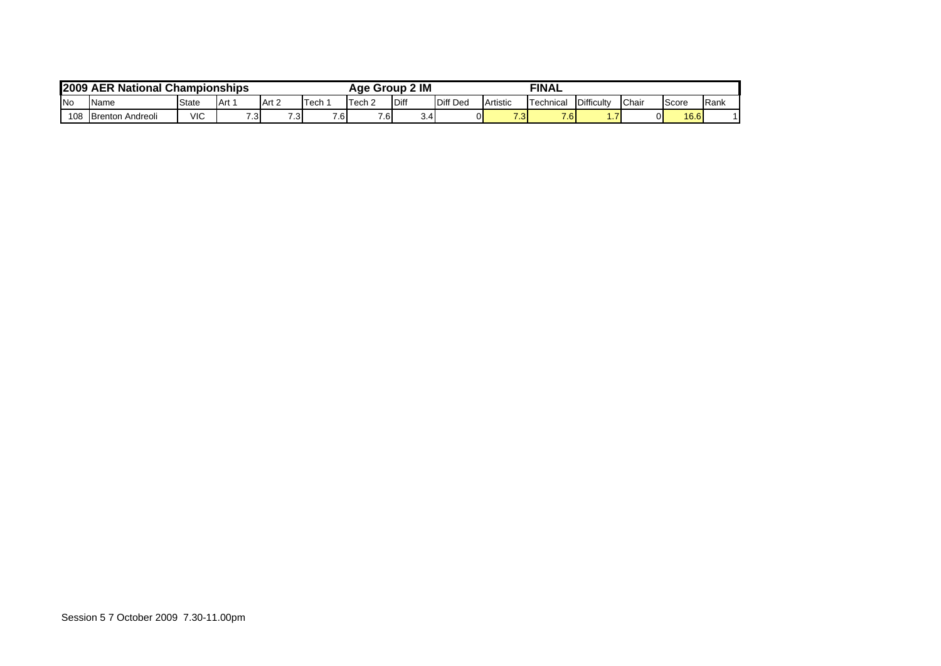| 2009       | <b>AER National Championships</b> |      |               |                  |                  | Group<br>Aae | 2 IM      |                   |                | <b>FINAL</b> |               |    |      |  |
|------------|-----------------------------------|------|---------------|------------------|------------------|--------------|-----------|-------------------|----------------|--------------|---------------|----|------|--|
| <b>INo</b> | State<br><b>Name</b>              | Tech | Tech $\sim$   | Diff             | <b>Diff Ded</b>  | Artistic     | Technical | <b>Difficulty</b> | Chai           | Score        | <b>I</b> Rank |    |      |  |
| 108        | <b>Brenton Andreoli</b>           | VIC  | $\sim$<br>. ت | 7.3 <sub>l</sub> | 7.6 <sub>l</sub> | 7.6          | 3.4       | 0                 | 70<br><u>ຼ</u> | 7.6          | .             | эI | 16.6 |  |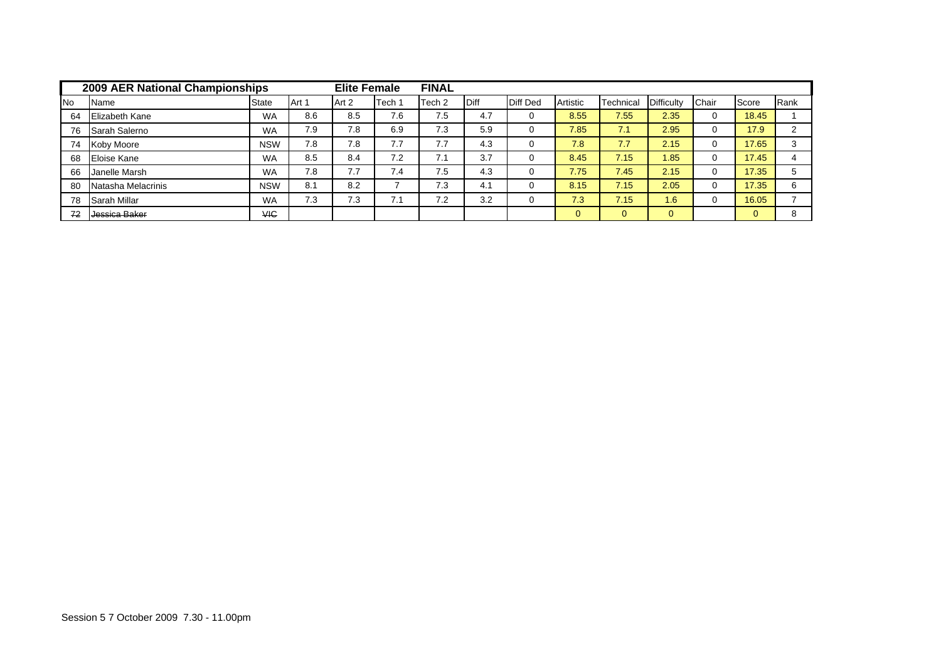|           | 2009 AER National Championships |            |       | <b>Elite Female</b> |        | <b>FINAL</b>      |      |                 |          |           |                   |       |       |      |
|-----------|---------------------------------|------------|-------|---------------------|--------|-------------------|------|-----------------|----------|-----------|-------------------|-------|-------|------|
| <b>No</b> | Name                            | State      | Art 1 | Art 2               | Tech 1 | Tech <sub>2</sub> | Diff | <b>Diff Ded</b> | Artistic | Technical | <b>Difficulty</b> | Chair | Score | Rank |
| 64        | <b>Elizabeth Kane</b>           | <b>WA</b>  | 8.6   | 8.5                 | 7.6    | 7.5               | 4.7  |                 | 8.55     | 7.55      | 2.35              | 0     | 18.45 |      |
| 76        | Sarah Salerno                   | <b>WA</b>  | 7.9   | 7.8                 | 6.9    | 7.3               | 5.9  |                 | 7.85     | 7.1       | 2.95              | 0     | 17.9  | ົ    |
| 74        | Koby Moore                      | <b>NSW</b> | 7.8   | 7.8                 | ⇁      | 7.7               | 4.3  |                 | 7.8      | 7.7       | 2.15              |       | 17.65 | 3    |
| 68        | Eloise Kane                     | <b>WA</b>  | 8.5   | 8.4                 | 7.2    | 7.1               | 3.7  |                 | 8.45     | 7.15      | 1.85              |       | 17.45 | 4    |
| 66        | Janelle Marsh                   | <b>WA</b>  | 7.8   | 77<br>.             | 7.4    | 7.5               | 4.3  |                 | 7.75     | 7.45      | 2.15              |       | 17.35 | 5    |
| 80        | Natasha Melacrinis              | <b>NSW</b> | 8.1   | 8.2                 |        | 7.3               | 4.1  |                 | 8.15     | 7.15      | 2.05              | 0     | 17.35 | 6    |
| 78        | Sarah Millar                    | <b>WA</b>  | 7.3   | 7.3                 | 7.1    | 7.2               | 3.2  |                 | 7.3      | 7.15      | 1.6               | 0     | 16.05 | ⇁    |
| 72        | Jessica Baker                   | <b>VIC</b> |       |                     |        |                   |      |                 |          | $\Omega$  | $\Omega$          |       |       | 8    |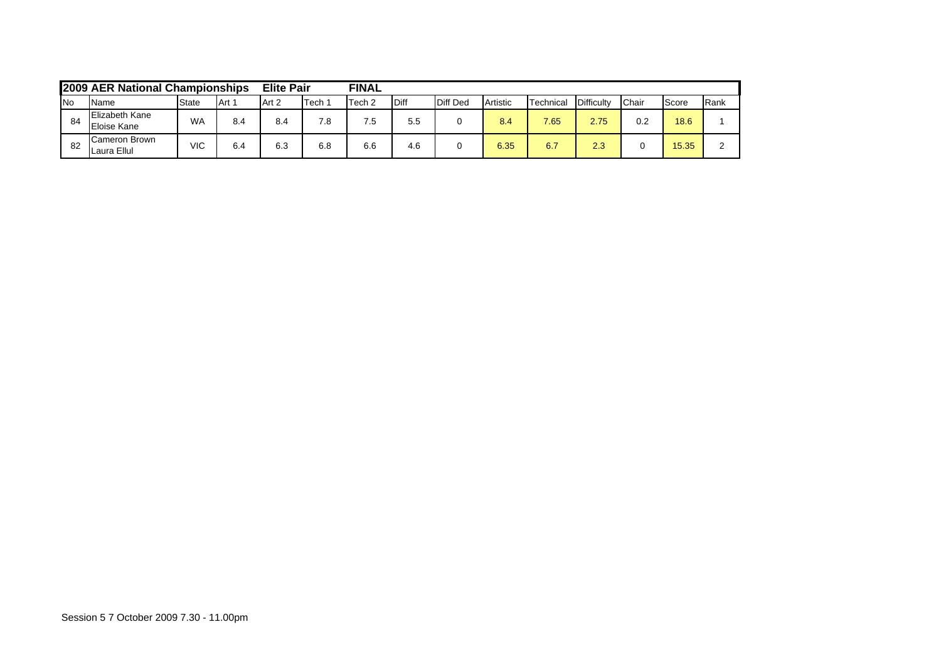|            | 2009 AER National Championships      |              |       | <b>Elite Pair</b> |      | <b>FINAL</b>      |             |                 |          |           |            |              |       |              |
|------------|--------------------------------------|--------------|-------|-------------------|------|-------------------|-------------|-----------------|----------|-----------|------------|--------------|-------|--------------|
| <b>INo</b> | Name                                 | <b>State</b> | Art 1 | Art 2             | Tech | Tech <sub>2</sub> | <b>Diff</b> | <b>Diff Ded</b> | Artistic | Technical | Difficulty | <b>Chair</b> | Score | <b>IRank</b> |
| -84        | <b>Elizabeth Kane</b><br>Eloise Kane | WA           | 8.4   | 8.4               | 7.8  | .5                | 5.5         |                 | 8.4      | 7.65      | 2.75       | 0.2          | 18.6  |              |
| -82        | Cameron Brown<br>Laura Ellul         | VIC          | 6.4   | 6.3               | 6.8  | 6.6               | 4.6         |                 | 6.35     | 6.7       | 2.3        |              | 15.35 |              |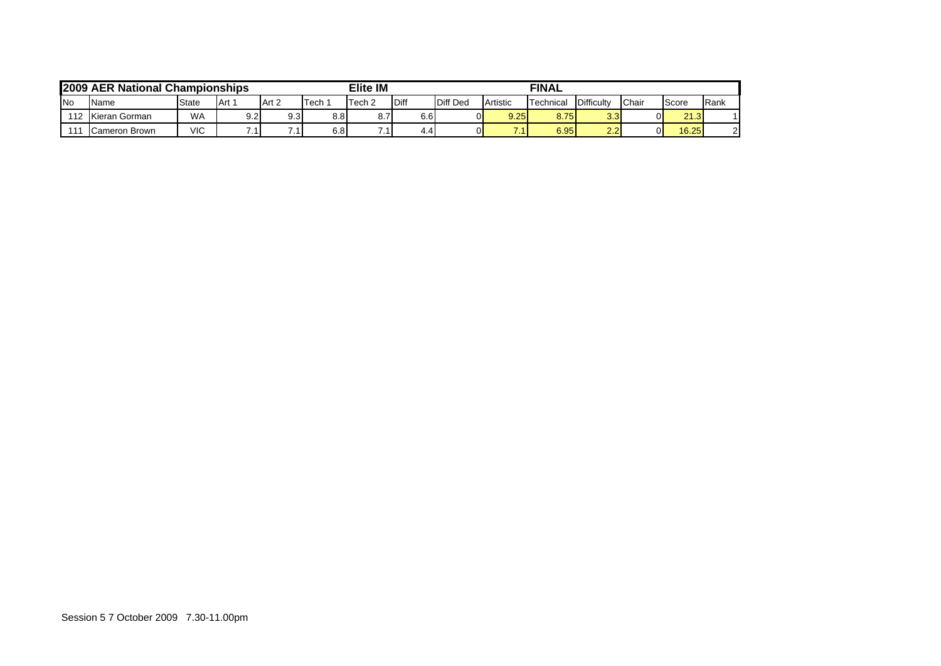|            | 2009 AER National Championships |              |     |                  |      | Elite IM |              |                 |          | <b>FINAL</b>     |                   |       |       |      |
|------------|---------------------------------|--------------|-----|------------------|------|----------|--------------|-----------------|----------|------------------|-------------------|-------|-------|------|
| <b>INo</b> | Name                            | <b>State</b> | Art | Art 2            | Tech | Tech 2   | <b>IDiff</b> | <b>Diff Ded</b> | Artistic | <b>Technical</b> | <b>Difficulty</b> | Chair | Score | Rank |
| 112        | Kieran Gorman                   | <b>WA</b>    | 9.2 | 9.3 <sub>l</sub> | 8.8  | 8.7      | 6.6          |                 | 9.25     | 8.75             | 3.3               | ΩI    | 21.3  |      |
| 111        | Cameron Brown                   | VIC          |     |                  | 6.8  |          | 4.4          |                 |          | 6.95             | $\Omega$<br>ے.ء   | 01    | 16.25 | ി    |